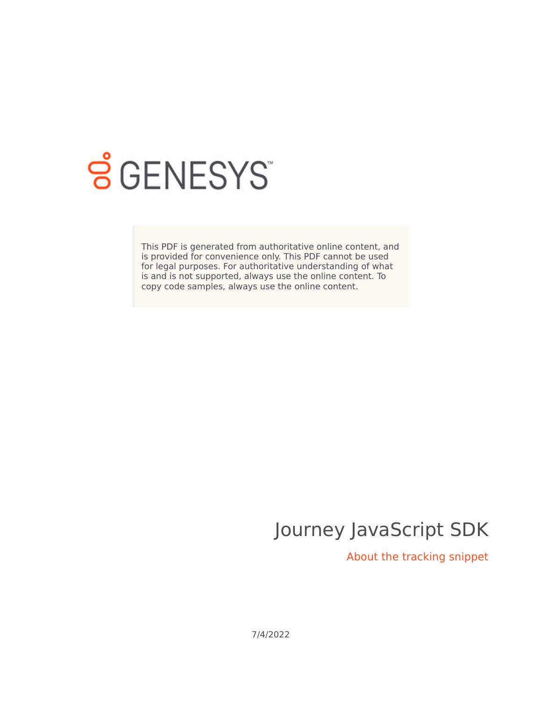

# **S** GENESYS

This PDF is generated from authoritative online content, and is provided for convenience only. This PDF cannot be used for legal purposes. For authoritative understanding of what is and is not supported, always use the online content. To copy code samples, always use the online content.

## Journey JavaScript SDK

About the tracking snippet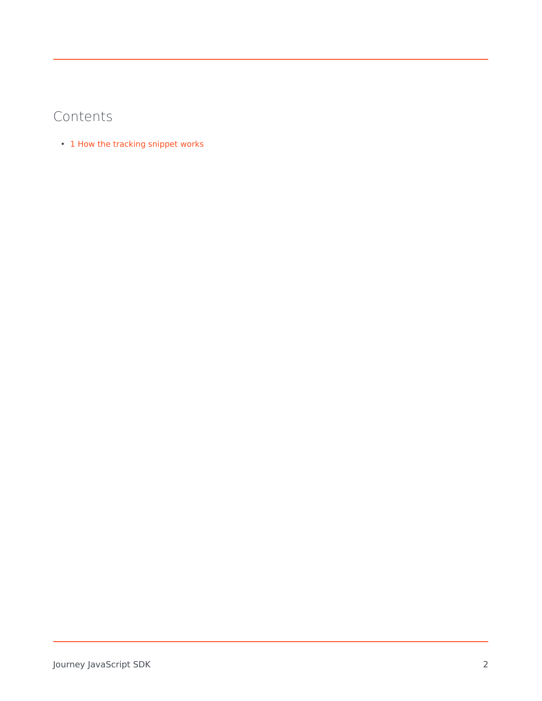### Contents

• 1 [How the tracking snippet works](#page-2-0)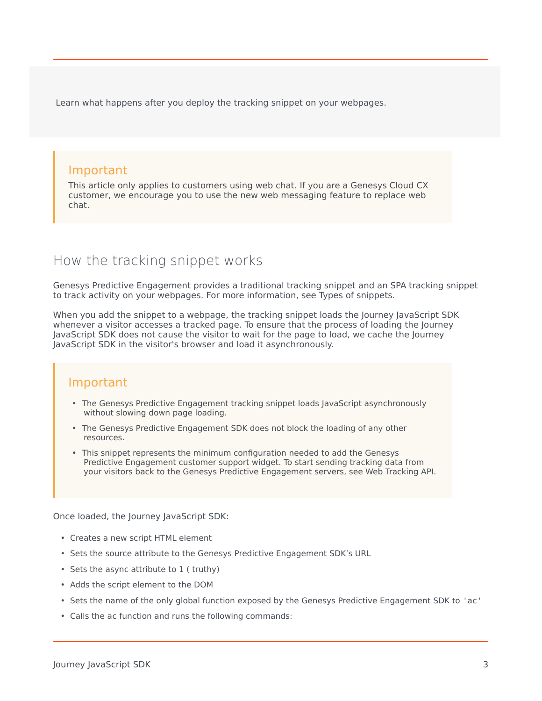Learn what happens after you deploy the tracking snippet on your webpages.

#### Important

This article only applies to customers using web chat. If you are a Genesys Cloud CX customer, we encourage you to use the new web messaging feature to replace web chat.

#### <span id="page-2-0"></span>How the tracking snippet works

Genesys Predictive Engagement provides a traditional tracking snippet and an SPA tracking snippet to track activity on your webpages. For more information, see Types of snippets.

When you add the snippet to a webpage, the tracking snippet loads the Journey JavaScript SDK whenever a visitor accesses a tracked page. To ensure that the process of loading the Journey JavaScript SDK does not cause the visitor to wait for the page to load, we cache the Journey JavaScript SDK in the visitor's browser and load it asynchronously.

#### Important

- The Genesys Predictive Engagement tracking snippet loads JavaScript asynchronously without slowing down page loading.
- The Genesys Predictive Engagement SDK does not block the loading of any other resources.
- This snippet represents the minimum configuration needed to add the Genesys Predictive Engagement customer support widget. To start sending tracking data from your visitors back to the Genesys Predictive Engagement servers, see Web Tracking API.

Once loaded, the Journey JavaScript SDK:

- Creates a new script HTML element
- Sets the source attribute to the Genesys Predictive Engagement SDK's URL
- Sets the async attribute to 1 ( truthy)
- Adds the script element to the DOM
- Sets the name of the only global function exposed by the Genesys Predictive Engagement SDK to 'ac'
- Calls the ac function and runs the following commands: